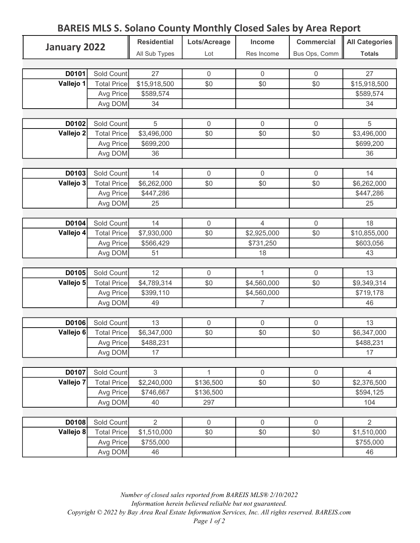## BAREIS MLS S. Solano County Monthly Closed Sales by Area Report

| January 2022 |                    | <b>Residential</b> | Lots/Acreage        | Income         | <b>Commercial</b> | All Categories |
|--------------|--------------------|--------------------|---------------------|----------------|-------------------|----------------|
|              |                    | All Sub Types      | Lot                 | Res Income     | Bus Ops, Comm     | <b>Totals</b>  |
|              |                    |                    |                     |                |                   |                |
| D0101        | Sold Count         | 27                 | $\mathbf 0$         | $\overline{0}$ | 0                 | 27             |
| Vallejo 1    | <b>Total Price</b> | \$15,918,500       | \$0                 | \$0            | \$0               | \$15,918,500   |
|              | Avg Price          | \$589,574          |                     |                |                   | \$589,574      |
|              | Avg DOM            | 34                 |                     |                |                   | 34             |
|              |                    |                    |                     |                |                   |                |
| D0102        | Sold Count         | 5                  | $\boldsymbol{0}$    | $\mathbf 0$    | $\mathbf 0$       | 5              |
| Vallejo 2    | <b>Total Price</b> | \$3,496,000        | \$0                 | \$0            | \$0               | \$3,496,000    |
|              | Avg Price          | \$699,200          |                     |                |                   | \$699,200      |
|              | Avg DOM            | 36                 |                     |                |                   | 36             |
|              |                    |                    |                     |                |                   |                |
| D0103        | Sold Count         | 14                 | 0                   | $\mathbf 0$    | 0                 | 14             |
| Vallejo 3    | <b>Total Price</b> | \$6,262,000        | \$0                 | \$0            | \$0               | \$6,262,000    |
|              | Avg Price          | \$447,286          |                     |                |                   | \$447,286      |
|              | Avg DOM            | 25                 |                     |                |                   | 25             |
|              |                    |                    |                     |                |                   |                |
| D0104        | Sold Count         | 14                 | 0                   | $\overline{4}$ | $\overline{0}$    | 18             |
| Vallejo 4    | <b>Total Price</b> | \$7,930,000        | \$0                 | \$2,925,000    | \$0               | \$10,855,000   |
|              | Avg Price          | \$566,429          |                     | \$731,250      |                   | \$603,056      |
|              | Avg DOM            | 51                 |                     | 18             |                   | 43             |
|              |                    |                    |                     |                |                   |                |
| D0105        | Sold Count         | 12                 | 0                   | 1              | $\overline{0}$    | 13             |
| Vallejo 5    | <b>Total Price</b> | \$4,789,314        | \$0                 | \$4,560,000    | \$0               | \$9,349,314    |
|              | Avg Price          | \$399,110          |                     | \$4,560,000    |                   | \$719,178      |
|              | Avg DOM            | 49                 |                     | $\overline{7}$ |                   | 46             |
|              |                    |                    |                     |                |                   |                |
| D0106        | Sold Count         | 13                 | $\mathsf{O}\xspace$ | $\mathbf 0$    | $\mathbf 0$       | 13             |
| Vallejo 6    | <b>Total Price</b> | \$6,347,000        | \$0                 | \$0            | \$0               | \$6,347,000    |
|              | Avg Price          | \$488,231          |                     |                |                   | \$488,231      |
|              | Avg DOM            | 17                 |                     |                |                   | 17             |
|              |                    |                    |                     |                |                   |                |
| D0107        | Sold Count         | 3                  | 1                   | $\mathbf 0$    | $\mathbf 0$       | $\overline{4}$ |
| Vallejo 7    | <b>Total Price</b> | \$2,240,000        | \$136,500           | \$0            | \$0               | \$2,376,500    |
|              | Avg Price          | \$746,667          | \$136,500           |                |                   | \$594,125      |
|              | Avg DOM            | 40                 | 297                 |                |                   | 104            |
|              |                    |                    |                     |                |                   |                |
| D0108        | Sold Count         | $\overline{2}$     | 0                   | $\overline{0}$ | $\mathbf 0$       | $\overline{2}$ |
| Vallejo 8    | <b>Total Price</b> | \$1,510,000        | \$0                 | \$0            | \$0               | \$1,510,000    |
|              | Avg Price          | \$755,000          |                     |                |                   | \$755,000      |
|              | Avg DOM            | 46                 |                     |                |                   | 46             |

Number of closed sales reported from BAREIS MLS® 2/10/2022 Information herein believed reliable but not guaranteed. Copyright © 2022 by Bay Area Real Estate Information Services, Inc. All rights reserved. BAREIS.com Page 1 of 2